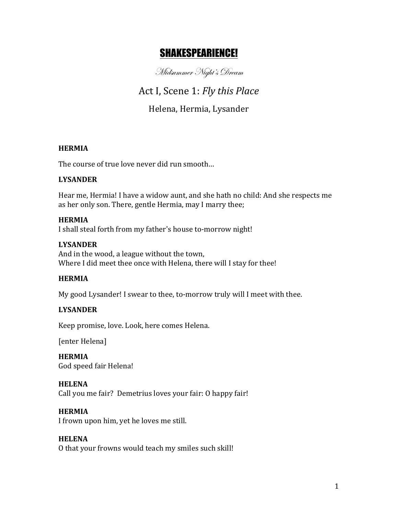# SHAKESPEARIENCE!

Midsummer Night's Dream

Act I, Scene 1: *Fly this Place* 

Helena, Hermia, Lysander

## **HERMIA**

The course of true love never did run smooth...

# **LYSANDER**

Hear me, Hermia! I have a widow aunt, and she hath no child: And she respects me as her only son. There, gentle Hermia, may I marry thee;

## **HERMIA**

I shall steal forth from my father's house to-morrow night!

## **LYSANDER**

And in the wood, a league without the town, Where I did meet thee once with Helena, there will I stay for thee!

# **HERMIA**

My good Lysander! I swear to thee, to-morrow truly will I meet with thee.

# **LYSANDER**

Keep promise, love. Look, here comes Helena.

[enter Helena]

**HERMIA** God speed fair Helena!

## **HELENA**

Call you me fair? Demetrius loves your fair: O happy fair!

## **HERMIA**

I frown upon him, yet he loves me still.

# **HELENA**

O that your frowns would teach my smiles such skill!